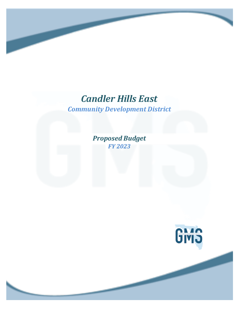# *Candler Hills East*

*Community Development District*

*Proposed Budget FY 2023*

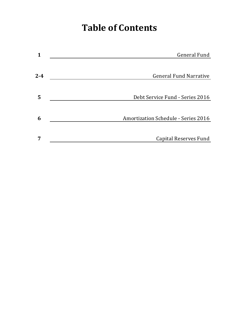# **Table of Contents**

| 1       | <b>General Fund</b>                        |
|---------|--------------------------------------------|
|         |                                            |
| $2 - 4$ | <b>General Fund Narrative</b>              |
|         |                                            |
| 5       | Debt Service Fund - Series 2016            |
|         |                                            |
| 6       | <b>Amortization Schedule - Series 2016</b> |
|         |                                            |
| 7       | <b>Capital Reserves Fund</b>               |
|         |                                            |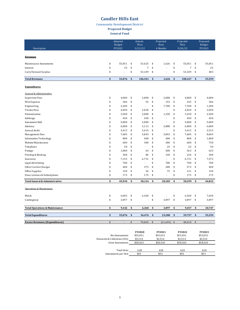#### **Candler Hills East**

**Community Development District** 

**Proposed Budget** 

**General Fund** 

| Description                                      |          | Adopted<br>Actuals<br><b>Budget</b><br>Thru<br>FY2022<br>3/31/22 |            |                          | Projected<br>Next<br>6 Months | Projected<br>Thru<br>9/30/22 |          | Proposed<br><b>Budget</b><br>FY2023 |            |                |
|--------------------------------------------------|----------|------------------------------------------------------------------|------------|--------------------------|-------------------------------|------------------------------|----------|-------------------------------------|------------|----------------|
| <b>Revenues</b>                                  |          |                                                                  |            |                          |                               |                              |          |                                     |            |                |
| Maintenance Assessments                          | \$       | 55,051                                                           | $\sqrt{5}$ | 53,425                   | \$                            | 1,626                        | \$       | 55,051                              | $\sqrt{5}$ | 55,051         |
| Interest                                         | \$       | 25                                                               | \$         | $\overline{7}$           | \$                            |                              | \$       | $\sqrt{ }$                          | \$         | 25             |
| Carry Forward Surplus                            | \$       | ÷                                                                | \$         | 53,109                   | \$                            |                              | \$       | 53,109                              | \$         | 483            |
| <b>Total Revenues</b>                            | \$       | 55,076                                                           | \$         | 106,541                  | \$                            | 1,626                        | \$       | 108,167                             | \$         | 55,559         |
| <b>Expenditures</b>                              |          |                                                                  |            |                          |                               |                              |          |                                     |            |                |
| General & Administrative                         |          |                                                                  |            |                          |                               |                              |          |                                     |            |                |
| <b>Supervisor Fees</b>                           | \$       | 4,000                                                            | \$         | 2,000                    | \$                            | 2,000                        | \$       | 4,000                               | \$         | 4,000          |
| <b>FICA</b> Expense                              | \$       | 306                                                              | \$         | 92                       | \$                            | 153                          | \$       | 245                                 | \$         | 306            |
| Engineering                                      | \$       | 2,200                                                            | \$         | $\sim$                   | \$                            | 7,700                        | \$       | 7,700                               | \$         | 1,200          |
| <b>Trustee Fees</b>                              | \$       | 2,050                                                            | \$         | 2,020                    | \$                            | ÷,                           | \$       | 2,020                               | \$         | 2,050          |
| Dissemination                                    | \$       | 3,500                                                            | \$         | 2,000                    | \$                            | 1,250                        | \$       | 3,250                               | \$         | 2,500          |
| Arbitrage                                        | \$       | 450                                                              | \$         | 450                      | \$                            | $\overline{\phantom{a}}$     | \$       | 450                                 | \$         | 450            |
| Assessment Roll                                  | \$       | 5,000                                                            | \$         | 5,000                    | \$                            | $\overline{a}$               | \$       | 5,000                               | \$         | 5,000          |
| Attorney                                         | \$       | 6,000                                                            | \$         | 3,113                    | \$                            | 2,888                        | \$       | 6,000                               | \$         | 6,000          |
| Annual Audit                                     | \$<br>\$ | 3,415                                                            | \$         | 3,415<br>3,843           | \$                            | ÷,<br>3,843                  | \$       | 3,415                               | \$         | 3,515<br>8,069 |
| Management Fees<br><b>Information Technology</b> | \$       | 7,685<br>800                                                     | \$<br>\$   | 400                      | \$<br>\$                      | 400                          | \$<br>\$ | 7,685<br>800                        | \$<br>\$   | 1,000          |
| Website Maintenance                              | \$       | 600                                                              | \$         | 300                      | \$                            | 300                          | \$       | 600                                 | \$         | 750            |
| Telephone                                        | \$       | 50                                                               | \$         | $\sim$                   | \$                            | 25                           | \$       | 25                                  | \$         | 50             |
| Postage                                          | \$       | 1,000                                                            | \$         | 63                       | \$                            | 500                          | \$       | 563                                 | \$         | 625            |
| Printing & Binding                               | \$       | 300                                                              | \$         | 86                       | \$                            | 150                          | \$       | 236                                 | \$         | 300            |
| Insurance                                        | \$       | 7,153                                                            | \$         | 6,731                    | \$                            | $\overline{a}$               | \$       | 6,731                               | \$         | 7,572          |
| Legal Advertising                                | \$       | 700                                                              | \$         | $\sim$                   | \$                            | 700                          | \$       | 700                                 | \$         | 700            |
| Other Current Charges                            | \$       | 400                                                              | \$         | 373                      | \$                            | 200                          | \$       | 573                                 | \$         | 400            |
| Office Supplies                                  | \$       | 150                                                              | \$         | 56                       | \$                            | 75                           | \$       | 131                                 | \$         | 150            |
| Dues, Licenses & Subscriptions                   | \$       | 175                                                              | \$         | 175                      | \$                            |                              | \$       | 175                                 | \$         | 175            |
| Total General & Administrative:                  | \$       | 45,934                                                           | \$         | 30,116                   | \$                            | 20,183                       | \$       | 50,299                              | \$         | 44,812         |
| <b>Operations &amp; Maintenance</b>              |          |                                                                  |            |                          |                               |                              |          |                                     |            |                |
| Mulch                                            | \$       | 6,045                                                            | \$         | 6,360                    | \$                            |                              | \$       | 6,360                               | \$         | 7,650          |
| Contingency                                      | \$       | 3,097                                                            | \$         | $\overline{\phantom{a}}$ | \$                            | 3,097                        | \$       | 3,097                               | \$         | 3,097          |
| <b>Total Operations &amp; Maintenance:</b>       | \$       | 9,142                                                            | \$         | 6,360                    | \$                            | 3,097                        | \$       | 9,457                               | \$         | 10,747         |
| <b>Total Expenditures</b>                        | \$       | 55,076                                                           | \$         | 36,476                   | \$                            | 23,280                       | \$       | 59,757                              | \$         | 55,559         |
| <b>Excess Revenues/(Expenditures)</b>            | \$       |                                                                  | \$         | 70,065                   | \$                            | (21, 655)                    | \$       | 48,410                              | \$         |                |
|                                                  |          |                                                                  |            |                          |                               |                              |          |                                     |            |                |

|                              | <b>FY2020</b> | <b>FY2021</b> | <b>FY2022</b> | <b>FY2023</b> |  |
|------------------------------|---------------|---------------|---------------|---------------|--|
| Net Assessments              | \$55.051      | \$55,051      | \$55,051      | \$55,051      |  |
| Discounts & Collections (6%) | \$3,514       | \$3.514       | \$3,514       | \$3,514       |  |
| Gross Assessments            | \$58,565      | \$58.565      | \$58.565      | \$58,565      |  |
|                              |               |               |               |               |  |
| Total Units                  | 628           | 628           | 628           | 628           |  |
| Assessments per Unit         | \$93          | \$93          | \$93          | \$93          |  |
|                              |               |               |               |               |  |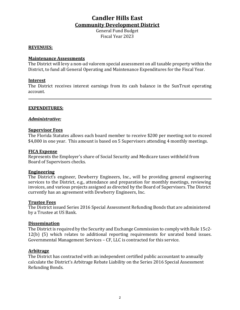# **Candler Hills East Community Development District**

General Fund Budget Fiscal Year 2023

#### **REVENUES:**

#### **Maintenance Assessments**

The District will levy a non-ad valorem special assessment on all taxable property within the District, to fund all General Operating and Maintenance Expenditures for the Fiscal Year.

#### **Interest**

The District receives interest earnings from its cash balance in the SunTrust operating account.

#### **EXPENDITURES:**

#### *Administrative:*

#### **Supervisor Fees**

The Florida Statutes allows each board member to receive \$200 per meeting not to exceed \$4,800 in one year. This amount is based on 5 Supervisors attending 4 monthly meetings.

#### **FICA Expense**

Represents the Employer's share of Social Security and Medicare taxes withheld from Board of Supervisors checks.

#### **Engineering**

The District's engineer, Dewberry Engineers, Inc., will be providing general engineering services to the District, e.g., attendance and preparation for monthly meetings, reviewing invoices, and various projects assigned as directed by the Board of Supervisors. The District currently has an agreement with Dewberry Engineers, Inc.

#### **Trustee Fees**

The District issued Series 2016 Special Assessment Refunding Bonds that are administered by a Trustee at US Bank.

#### **Dissemination**

The District is required by the Security and Exchange Commission to comply with Rule 15c2- $12(b)$  (5) which relates to additional reporting requirements for unrated bond issues. Governmental Management Services – CF, LLC is contracted for this service.

#### **Arbitrage**

The District has contracted with an independent certified public accountant to annually calculate the District's Arbitrage Rebate Liability on the Series 2016 Special Assessment Refunding Bonds.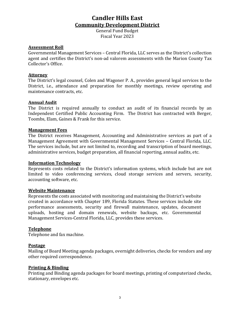# **Candler Hills East Community Development District**

General Fund Budget Fiscal Year 2023

#### **Assessment Roll**

Governmental Management Services – Central Florida, LLC serves as the District's collection agent and certifies the District's non-ad valorem assessments with the Marion County Tax Collector's Office.

#### **Attorney**

The District's legal counsel, Colen and Wagoner P. A., provides general legal services to the District, i.e., attendance and preparation for monthly meetings, review operating and maintenance contracts, etc.

#### **Annual Audit**

The District is required annually to conduct an audit of its financial records by an Independent Certified Public Accounting Firm. The District has contracted with Berger, Toombs, Elam, Gaines & Frank for this service.

#### **Management Fees**

The District receives Management, Accounting and Administrative services as part of a Management Agreement with Governmental Management Services - Central Florida, LLC. The services include, but are not limited to, recording and transcription of board meetings, administrative services, budget preparation, all financial reporting, annual audits, etc.

#### **Information Technology**

Represents costs related to the District's information systems, which include but are not limited to video conferencing services, cloud storage services and servers, security, accounting software, etc.

#### **Website Maintenance**

Represents the costs associated with monitoring and maintaining the District's website created in accordance with Chapter 189, Florida Statutes. These services include site performance assessments, security and firewall maintenance, updates, document uploads, hosting and domain renewals, website backups, etc. Governmental Management Services-Central Florida, LLC, provides these services.

#### **Telephone**

Telephone and fax machine.

#### **Postage**

Mailing of Board Meeting agenda packages, overnight deliveries, checks for vendors and any other required correspondence.

#### **Printing & Binding**

Printing and Binding agenda packages for board meetings, printing of computerized checks, stationary, envelopes etc.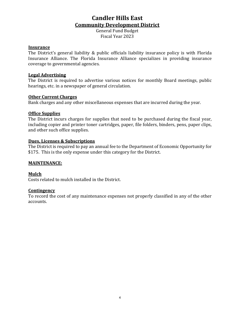# **Candler Hills East Community Development District**

General Fund Budget Fiscal Year 2023

#### **Insurance**

The District's general liability & public officials liability insurance policy is with Florida Insurance Alliance. The Florida Insurance Alliance specializes in providing insurance coverage to governmental agencies.

#### **Legal Advertising**

The District is required to advertise various notices for monthly Board meetings, public hearings, etc. in a newspaper of general circulation.

#### **Other Current Charges**

Bank charges and any other miscellaneous expenses that are incurred during the year.

#### **Office Supplies**

The District incurs charges for supplies that need to be purchased during the fiscal year, including copier and printer toner cartridges, paper, file folders, binders, pens, paper clips, and other such office supplies.

#### **Dues, Licenses & Subscriptions**

The District is required to pay an annual fee to the Department of Economic Opportunity for \$175. This is the only expense under this category for the District.

#### **MAINTENANCE:**

#### **Mulch**

Costs related to mulch installed in the District.

#### **Contingency**

To record the cost of any maintenance expenses not properly classified in any of the other accounts.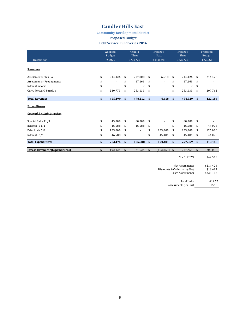### **Candler Hills East**

#### **Community Development District**

#### **Proposed Budget**

#### **Debt Service Fund Series 2016**

| Description                           | Adopted<br>Budget<br>FY2022 |                           | Actuals<br>Thru<br>3/31/22 |                           | Projected<br>Next<br>6 Months |                    | Projected<br>Thru<br>9/30/22 |                | Proposed<br>Budget<br>FY2023 |
|---------------------------------------|-----------------------------|---------------------------|----------------------------|---------------------------|-------------------------------|--------------------|------------------------------|----------------|------------------------------|
| <b>Revenues</b>                       |                             |                           |                            |                           |                               |                    |                              |                |                              |
| Assessments - Tax Roll                | \$<br>214,426               | \$                        | 207,808                    | \$                        | 6,618                         | \$                 | 214,426                      | \$             | 214,426                      |
| Assessments - Prepayments             | \$                          | \$                        | 17,263                     | \$                        |                               | \$                 | 17,263                       | \$             |                              |
| Interest Income                       | \$                          | \$                        | 7                          | \$                        | ÷.                            | \$                 | 7                            | \$             |                              |
| Carry Forward Surplus                 | \$<br>240,773               | \$                        | 253,133                    | \$                        | $\sim$                        | \$                 | 253,133                      | \$             | 207,761                      |
| <b>Total Revenues</b>                 | \$<br>455,199               | $\boldsymbol{\mathsf{s}}$ | 478,212                    | $\boldsymbol{\mathsf{s}}$ | 6,618                         | $\mathbf{s}$       | 484,829                      | $\mathbf{s}$   | 422,186                      |
| <b>Expenditures</b>                   |                             |                           |                            |                           |                               |                    |                              |                |                              |
| General & Administrative:             |                             |                           |                            |                           |                               |                    |                              |                |                              |
| Special Call - 11/1                   | \$<br>45,000                | \$                        | 60,000                     | \$                        |                               | \$                 | 60,000                       | \$             |                              |
| Interest - $11/1$                     | \$<br>46,588                | \$                        | 46,588                     | \$                        |                               | \$                 | 46,588                       | \$             | 44,075                       |
| Principal - 5/1                       | \$<br>125,000               | \$                        | L,                         | \$                        | 125,000                       | \$                 | 125,000                      | \$             | 125,000                      |
| Interest - 5/1                        | \$<br>46,588                | \$                        | $\overline{a}$             | \$                        | 45,481                        | \$                 | 45,481                       | \$             | 44,075                       |
| <b>Total Expenditures</b>             | \$<br>263,175               | \$                        | 106,588                    | $\mathbf{s}$              | 170,481                       | $\mathbf{s}$       | 277,069                      | \$             | 213,150                      |
| <b>Excess Revenues/(Expenditures)</b> | \$<br>192,024               | $\frac{1}{2}$             | 371,624                    | \$                        | (163, 863)                    | $\mathbf{\hat{s}}$ | 207,761                      | $\mathfrak{S}$ | 209,036                      |
|                                       |                             |                           |                            |                           |                               |                    | Nov 1, 2023                  |                | \$42,513                     |
|                                       |                             |                           |                            |                           |                               |                    | Net Assessments              |                | \$214,426                    |
|                                       |                             |                           |                            |                           |                               |                    | <b>Gross Assessments</b>     |                | \$228,113                    |
|                                       |                             |                           |                            |                           |                               |                    | Discounts & Collections (6%) |                | \$13,687                     |

Total Units 414.75<br>the per Unit 5550 Assessments per Unit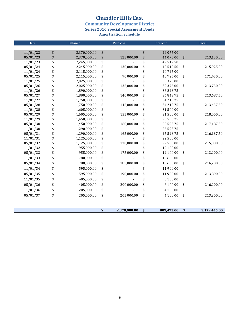# **Chandler Hills East**

**Community Development District** 

**Series 2016 Special Assessment Bonds** 

**Amortization Schedule**

| Date     | Balance            | Prinicpal          | Interest |            |    | Total        |
|----------|--------------------|--------------------|----------|------------|----|--------------|
|          |                    |                    |          |            |    |              |
| 11/01/22 | \$<br>2,370,000.00 | \$                 | \$       | 44,075.00  |    |              |
| 05/01/23 | \$<br>2,370,000.00 | \$<br>125,000.00   | \$       | 44,075.00  | \$ | 213,150.00   |
| 11/01/23 | \$<br>2,245,000.00 | \$                 | \$       | 42,512.50  |    |              |
| 05/01/24 | \$<br>2,245,000.00 | \$<br>130,000.00   | \$       | 42,512.50  | \$ | 215,025.00   |
| 11/01/24 | \$<br>2,115,000.00 | \$                 | \$       | 40,725.00  |    |              |
| 05/01/25 | \$<br>2,115,000.00 | \$<br>90,000.00    | \$       | 40,725.00  | \$ | 171,450.00   |
| 11/01/25 | \$<br>2,025,000.00 | \$                 | \$       | 39,375.00  |    |              |
| 05/01/26 | \$<br>2,025,000.00 | \$<br>135,000.00   | \$       | 39,375.00  | \$ | 213,750.00   |
| 11/01/26 | \$<br>1,890,000.00 | \$                 | \$       | 36,843.75  |    |              |
| 05/01/27 | \$<br>1,890,000.00 | \$<br>140,000.00   | \$       | 36,843.75  | \$ | 213,687.50   |
| 11/01/27 | \$<br>1,750,000.00 | \$                 | \$       | 34,218.75  |    |              |
| 05/01/28 | \$<br>1,750,000.00 | \$<br>145,000.00   | \$       | 34,218.75  | \$ | 213,437.50   |
| 11/01/28 | \$<br>1,605,000.00 | \$                 | \$       | 31,500.00  |    |              |
| 05/01/29 | \$<br>1,605,000.00 | \$<br>155,000.00   | \$       | 31,500.00  | \$ | 218,000.00   |
| 11/01/29 | \$<br>1,450,000.00 | \$                 | \$       | 28,593.75  |    |              |
| 05/01/30 | \$<br>1,450,000.00 | \$<br>160,000.00   | \$       | 28,593.75  | \$ | 217,187.50   |
| 11/01/30 | \$<br>1,290,000.00 | \$                 | \$       | 25,593.75  |    |              |
| 05/01/31 | \$<br>1,290,000.00 | \$<br>165,000.00   | \$       | 25,593.75  | \$ | 216,187.50   |
| 11/01/31 | \$<br>1,125,000.00 | \$                 | \$       | 22,500.00  |    |              |
| 05/01/32 | \$<br>1,125,000.00 | \$<br>170,000.00   | \$       | 22,500.00  | \$ | 215,000.00   |
| 11/01/32 | \$<br>955,000.00   | \$                 | \$       | 19,100.00  |    |              |
| 05/01/33 | \$<br>955,000.00   | \$<br>175,000.00   | \$       | 19,100.00  | \$ | 213,200.00   |
| 11/01/33 | \$<br>780,000.00   | \$                 | \$       | 15,600.00  |    |              |
| 05/01/34 | \$<br>780,000.00   | \$<br>185,000.00   | \$       | 15,600.00  | \$ | 216,200.00   |
| 11/01/34 | \$<br>595,000.00   | \$                 | \$       | 11,900.00  |    |              |
| 05/01/35 | \$<br>595,000.00   | \$<br>190,000.00   | \$       | 11,900.00  | \$ | 213,800.00   |
| 11/01/35 | \$<br>405,000.00   | \$                 | \$       | 8,100.00   |    |              |
| 05/01/36 | \$<br>405,000.00   | \$<br>200,000.00   | \$       | 8,100.00   | \$ | 216,200.00   |
| 11/01/36 | \$<br>205,000.00   | \$                 | \$       | 4,100.00   |    |              |
| 05/01/37 | \$<br>205,000.00   | \$<br>205,000.00   | \$       | 4,100.00   | \$ | 213,200.00   |
|          |                    |                    |          |            |    |              |
|          |                    | \$<br>2,370,000.00 | \$       | 809,475.00 | \$ | 3,179,475.00 |